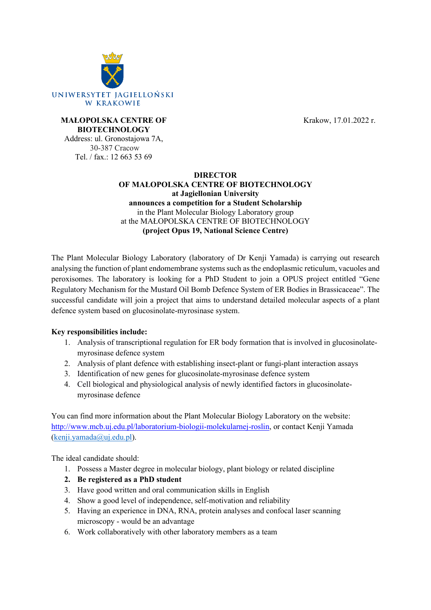

Krakow, 17.01.2022 r.

#### **MAŁOPOLSKA CENTRE OF BIOTECHNOLOGY**

Address: ul. Gronostajowa 7A, 30-387 Cracow Tel. / fax.: 12 663 53 69

#### **DIRECTOR**

# **OF MAŁOPOLSKA CENTRE OF BIOTECHNOLOGY**

**at Jagiellonian University announces a competition for a Student Scholarship** in the Plant Molecular Biology Laboratory group at the MAŁOPOLSKA CENTRE OF BIOTECHNOLOGY **(project Opus 19, National Science Centre)**

The Plant Molecular Biology Laboratory (laboratory of Dr Kenji Yamada) is carrying out research analysing the function of plant endomembrane systems such as the endoplasmic reticulum, vacuoles and peroxisomes. The laboratory is looking for a PhD Student to join a OPUS project entitled "Gene Regulatory Mechanism for the Mustard Oil Bomb Defence System of ER Bodies in Brassicaceae". The successful candidate will join a project that aims to understand detailed molecular aspects of a plant defence system based on glucosinolate-myrosinase system.

# **Key responsibilities include:**

- 1. Analysis of transcriptional regulation for ER body formation that is involved in glucosinolatemyrosinase defence system
- 2. Analysis of plant defence with establishing insect-plant or fungi-plant interaction assays
- 3. Identification of new genes for glucosinolate-myrosinase defence system
- 4. Cell biological and physiological analysis of newly identified factors in glucosinolatemyrosinase defence

You can find more information about the Plant Molecular Biology Laboratory on the website: [http://www.mcb.uj.edu.pl/laboratorium](http://www.mcb.uj.edu.pl/laboratorium-biologii-molekularnej-roslin)-biologii-molekularnej-roslin, or contact Kenji Yamada ([kenji.yamada@uj.edu.pl\)](mailto:kenji.yamada@uj.edu.pl).

The ideal candidate should:

- 1. Possess a Master degree in molecular biology, plant biology or related discipline
- **2. Be registered as a PhD student**
- 3. Have good written and oral communication skills in English
- 4. Show a good level of independence, self-motivation and reliability
- 5. Having an experience in DNA, RNA, protein analyses and confocal laser scanning microscopy - would be an advantage
- 6. Work collaboratively with other laboratory members as a team